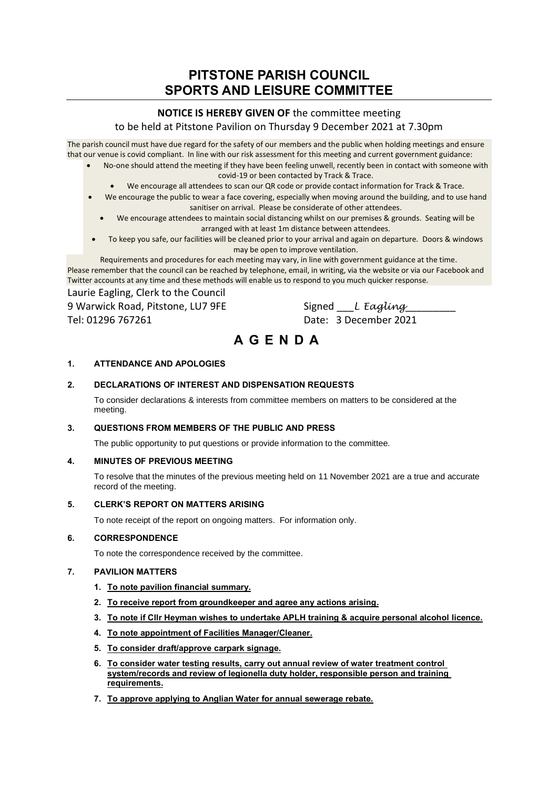# **PITSTONE PARISH COUNCIL SPORTS AND LEISURE COMMITTEE**

# **NOTICE IS HEREBY GIVEN OF** the committee meeting

# to be held at Pitstone Pavilion on Thursday 9 December 2021 at 7.30pm

The parish council must have due regard for the safety of our members and the public when holding meetings and ensure that our venue is covid compliant. In line with our risk assessment for this meeting and current government guidance:

- No-one should attend the meeting if they have been feeling unwell, recently been in contact with someone with covid-19 or been contacted by Track & Trace.
	- We encourage all attendees to scan our QR code or provide contact information for Track & Trace.
- We encourage the public to wear a face covering, especially when moving around the building, and to use hand sanitiser on arrival. Please be considerate of other attendees.
	- We encourage attendees to maintain social distancing whilst on our premises & grounds. Seating will be arranged with at least 1m distance between attendees.
- To keep you safe, our facilities will be cleaned prior to your arrival and again on departure. Doors & windows may be open to improve ventilation.

Requirements and procedures for each meeting may vary, in line with government guidance at the time. Please remember that the council can be reached by telephone, email, in writing, via the website or via our Facebook and Twitter accounts at any time and these methods will enable us to respond to you much quicker response.

Laurie Eagling, Clerk to the Council 9 Warwick Road, Pitstone, LU7 9FE Signed LE *Eagling* 

Tel: 01296 767261 Date: 3 December 2021

# **A G E N D A**

# **1. ATTENDANCE AND APOLOGIES**

## **2. DECLARATIONS OF INTEREST AND DISPENSATION REQUESTS**

To consider declarations & interests from committee members on matters to be considered at the meeting.

#### **3. QUESTIONS FROM MEMBERS OF THE PUBLIC AND PRESS**

The public opportunity to put questions or provide information to the committee.

#### **4. MINUTES OF PREVIOUS MEETING**

To resolve that the minutes of the previous meeting held on 11 November 2021 are a true and accurate record of the meeting.

#### **5. CLERK'S REPORT ON MATTERS ARISING**

To note receipt of the report on ongoing matters. For information only.

#### **6. CORRESPONDENCE**

To note the correspondence received by the committee.

#### **7. PAVILION MATTERS**

- **1. To note pavilion financial summary.**
- **2. To receive report from groundkeeper and agree any actions arising.**
- **3. To note if Cllr Heyman wishes to undertake APLH training & acquire personal alcohol licence.**
- **4. To note appointment of Facilities Manager/Cleaner.**
- **5. To consider draft/approve carpark signage.**
- **6. To consider water testing results, carry out annual review of water treatment control system/records and review of legionella duty holder, responsible person and training requirements.**
- **7. To approve applying to Anglian Water for annual sewerage rebate.**